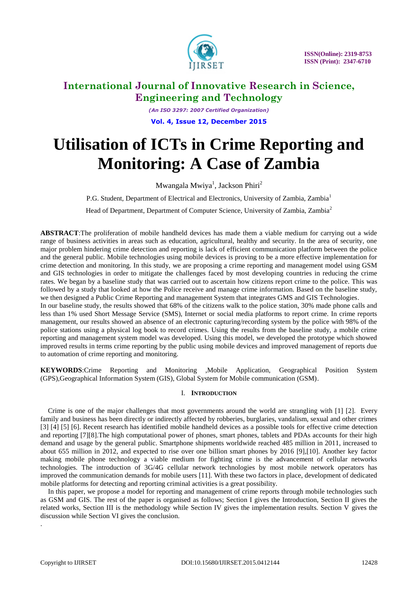

*(An ISO 3297: 2007 Certified Organization)* **Vol. 4, Issue 12, December 2015**

# **Utilisation of ICTs in Crime Reporting and Monitoring: A Case of Zambia**

Mwangala Mwiya<sup>1</sup>, Jackson Phiri<sup>2</sup>

P.G. Student, Department of Electrical and Electronics, University of Zambia, Zambia<sup>1</sup>

Head of Department, Department of Computer Science, University of Zambia, Zambia<sup>2</sup>

**ABSTRACT**:The proliferation of mobile handheld devices has made them a viable medium for carrying out a wide range of business activities in areas such as education, agricultural, healthy and security. In the area of security, one major problem hindering crime detection and reporting is lack of efficient communication platform between the police and the general public. Mobile technologies using mobile devices is proving to be a more effective implementation for crime detection and monitoring. In this study, we are proposing a crime reporting and management model using GSM and GIS technologies in order to mitigate the challenges faced by most developing countries in reducing the crime rates. We began by a baseline study that was carried out to ascertain how citizens report crime to the police. This was followed by a study that looked at how the Police receive and manage crime information. Based on the baseline study, we then designed a Public Crime Reporting and management System that integrates GMS and GIS Technologies. In our baseline study, the results showed that 68% of the citizens walk to the police station, 30% made phone calls and

less than 1% used Short Message Service (SMS), Internet or social media platforms to report crime. In crime reports management, our results showed an absence of an electronic capturing/recording system by the police with 98% of the police stations using a physical log book to record crimes. Using the results from the baseline study, a mobile crime reporting and management system model was developed. Using this model, we developed the prototype which showed improved results in terms crime reporting by the public using mobile devices and improved management of reports due to automation of crime reporting and monitoring.

**KEYWORDS**:Crime Reporting and Monitoring ,Mobile Application, Geographical Position System (GPS),Geographical Information System (GIS), Global System for Mobile communication (GSM).

### I. **INTRODUCTION**

Crime is one of the major challenges that most governments around the world are strangling with [1] [2]. Every family and business has been directly or indirectly affected by robberies, burglaries, vandalism, sexual and other crimes [3] [4] [5] [6]. Recent research has identified mobile handheld devices as a possible tools for effective crime detection and reporting [7][8].The high computational power of phones, smart phones, tablets and PDAs accounts for their high demand and usage by the general public. Smartphone shipments worldwide reached 485 million in 2011, increased to about 655 million in 2012, and expected to rise over one billion smart phones by 2016 [9],[10]. Another key factor making mobile phone technology a viable medium for fighting crime is the advancement of cellular networks technologies. The introduction of 3G/4G cellular network technologies by most mobile network operators has improved the communication demands for mobile users [11]. With these two factors in place, development of dedicated mobile platforms for detecting and reporting criminal activities is a great possibility.

In this paper, we propose a model for reporting and management of crime reports through mobile technologies such as GSM and GIS. The rest of the paper is organised as follows; Section I gives the Introduction, Section II gives the related works, Section III is the methodology while Section IV gives the implementation results. Section V gives the discussion while Section VI gives the conclusion.

.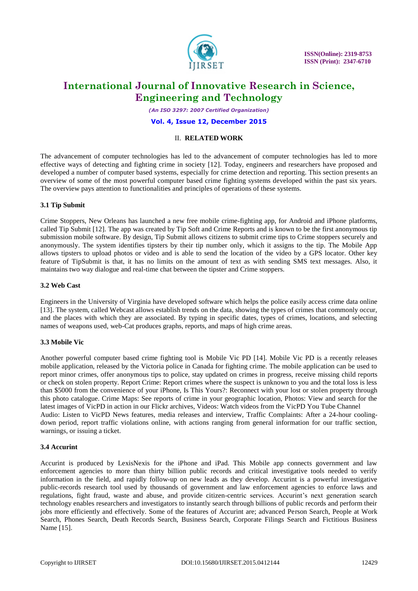

*(An ISO 3297: 2007 Certified Organization)*

**Vol. 4, Issue 12, December 2015**

### II. **RELATED WORK**

The advancement of computer technologies has led to the advancement of computer technologies has led to more effective ways of detecting and fighting crime in society [12]. Today, engineers and researchers have proposed and developed a number of computer based systems, especially for crime detection and reporting. This section presents an overview of some of the most powerful computer based crime fighting systems developed within the past six years. The overview pays attention to functionalities and principles of operations of these systems.

### **3.1 Tip Submit**

Crime Stoppers, New Orleans has launched a new free mobile crime-fighting app, for Android and iPhone platforms, called Tip Submit [12]. The app was created by Tip Soft and Crime Reports and is known to be the first anonymous tip submission mobile software. By design, Tip Submit allows citizens to submit crime tips to Crime stoppers securely and anonymously. The system identifies tipsters by their tip number only, which it assigns to the tip. The Mobile App allows tipsters to upload photos or video and is able to send the location of the video by a GPS locator. Other key feature of TipSubmit is that, it has no limits on the amount of text as with sending SMS text messages. Also, it maintains two way dialogue and real-time chat between the tipster and Crime stoppers.

### **3.2 Web Cast**

Engineers in the University of Virginia have developed software which helps the police easily access crime data online [13]. The system, called Webcast allows establish trends on the data, showing the types of crimes that commonly occur, and the places with which they are associated. By typing in specific dates, types of crimes, locations, and selecting names of weapons used, web-Cat produces graphs, reports, and maps of high crime areas.

### **3.3 Mobile Vic**

Another powerful computer based crime fighting tool is Mobile Vic PD [14]. Mobile Vic PD is a recently releases mobile application, released by the Victoria police in Canada for fighting crime. The mobile application can be used to report minor crimes, offer anonymous tips to police, stay updated on crimes in progress, receive missing child reports or check on stolen property. Report Crime: Report crimes where the suspect is unknown to you and the total loss is less than \$5000 from the convenience of your iPhone, Is This Yours?: Reconnect with your lost or stolen property through this photo catalogue. Crime Maps: See reports of crime in your geographic location, Photos: View and search for the latest images of VicPD in action in our Flickr archives, Videos: Watch videos from the VicPD You Tube Channel Audio: Listen to VicPD News features, media releases and interview, Traffic Complaints: After a 24-hour coolingdown period, report traffic violations online, with actions ranging from general information for our traffic section, warnings, or issuing a ticket.

### **3.4 Accurint**

Accurint is produced by LexisNexis for the iPhone and iPad. This Mobile app connects government and law enforcement agencies to more than thirty billion public records and critical investigative tools needed to verify information in the field, and rapidly follow-up on new leads as they develop. Accurint is a powerful investigative public-records research tool used by thousands of government and law enforcement agencies to enforce laws and regulations, fight fraud, waste and abuse, and provide citizen-centric services. Accurint's next generation search technology enables researchers and investigators to instantly search through billions of public records and perform their jobs more efficiently and effectively. Some of the features of Accurint are; advanced Person Search, People at Work Search, Phones Search, Death Records Search, Business Search, Corporate Filings Search and Fictitious Business Name [15].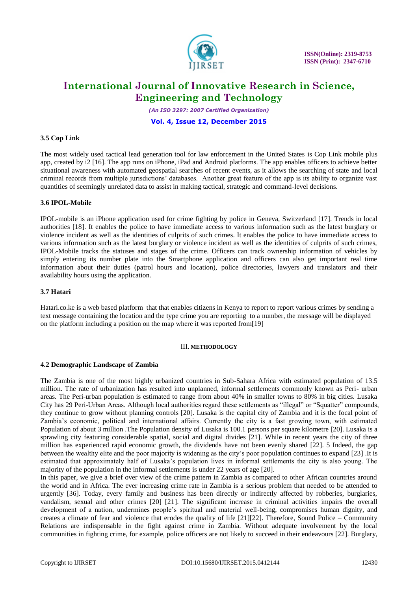

*(An ISO 3297: 2007 Certified Organization)*

#### **Vol. 4, Issue 12, December 2015**

### **3.5 Cop Link**

The most widely used tactical lead generation tool for law enforcement in the United States is Cop Link mobile plus app, created by i2 [16]. The app runs on iPhone, iPad and Android platforms. The app enables officers to achieve better situational awareness with automated geospatial searches of recent events, as it allows the searching of state and local criminal records from multiple jurisdictions" databases. Another great feature of the app is its ability to organize vast quantities of seemingly unrelated data to assist in making tactical, strategic and command-level decisions.

#### **3.6 IPOL-Mobile**

IPOL-mobile is an iPhone application used for crime fighting by police in Geneva, Switzerland [17]. Trends in local authorities [18]. It enables the police to have immediate access to various information such as the latest burglary or violence incident as well as the identities of culprits of such crimes. It enables the police to have immediate access to various information such as the latest burglary or violence incident as well as the identities of culprits of such crimes, IPOL-Mobile tracks the statuses and stages of the crime. Officers can track ownership information of vehicles by simply entering its number plate into the Smartphone application and officers can also get important real time information about their duties (patrol hours and location), police directories, lawyers and translators and their availability hours using the application.

#### **3.7 Hatari**

Hatari.co.ke is a web based platform that that enables citizens in Kenya to report to report various crimes by sending a text message containing the location and the type crime you are reporting to a number, the message will be displayed on the platform including a position on the map where it was reported from[19]

#### III. **METHODOLOGY**

#### **4.2 Demographic Landscape of Zambia**

The Zambia is one of the most highly urbanized countries in Sub-Sahara Africa with estimated population of 13.5 million. The rate of urbanization has resulted into unplanned, informal settlements commonly known as Peri- urban areas. The Peri-urban population is estimated to range from about 40% in smaller towns to 80% in big cities. Lusaka City has 29 Peri-Urban Areas. Although local authorities regard these settlements as "illegal" or "Squatter" compounds, they continue to grow without planning controls [20]. Lusaka is the capital city of Zambia and it is the focal point of Zambia"s economic, political and international affairs. Currently the city is a fast growing town, with estimated Population of about 3 million .The Population density of Lusaka is 100.1 persons per square kilometre [20]. Lusaka is a sprawling city featuring considerable spatial, social and digital divides [21]. While in recent years the city of three million has experienced rapid economic growth, the dividends have not been evenly shared [22]. 5 Indeed, the gap between the wealthy elite and the poor majority is widening as the city"s poor population continues to expand [23] .It is estimated that approximately half of Lusaka"s population lives in informal settlements the city is also young. The majority of the population in the informal settlements is under 22 years of age [20].

In this paper, we give a brief over view of the crime pattern in Zambia as compared to other African countries around the world and in Africa. The ever increasing crime rate in Zambia is a serious problem that needed to be attended to urgently [36]. Today, every family and business has been directly or indirectly affected by robberies, burglaries, vandalism, sexual and other crimes [20] [21]. The significant increase in criminal activities impairs the overall development of a nation, undermines people"s spiritual and material well-being, compromises human dignity, and creates a climate of fear and violence that erodes the quality of life [21][22]. Therefore, Sound Police – Community Relations are indispensable in the fight against crime in Zambia. Without adequate involvement by the local communities in fighting crime, for example, police officers are not likely to succeed in their endeavours [22]. Burglary,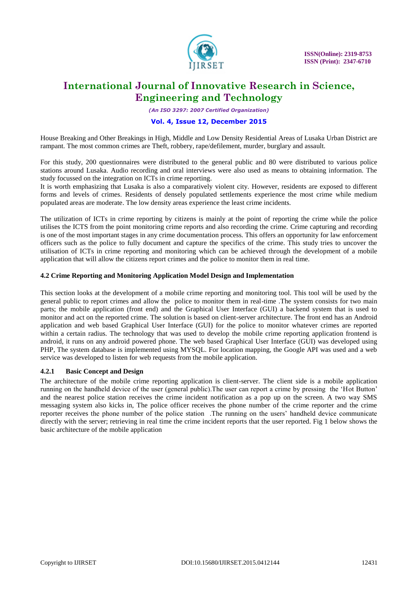

*(An ISO 3297: 2007 Certified Organization)*

### **Vol. 4, Issue 12, December 2015**

House Breaking and Other Breakings in High, Middle and Low Density Residential Areas of Lusaka Urban District are rampant. The most common crimes are Theft, robbery, rape/defilement, murder, burglary and assault.

For this study, 200 questionnaires were distributed to the general public and 80 were distributed to various police stations around Lusaka. Audio recording and oral interviews were also used as means to obtaining information. The study focussed on the integration on ICTs in crime reporting.

It is worth emphasizing that Lusaka is also a comparatively violent city. However, residents are exposed to different forms and levels of crimes. Residents of densely populated settlements experience the most crime while medium populated areas are moderate. The low density areas experience the least crime incidents.

The utilization of ICTs in crime reporting by citizens is mainly at the point of reporting the crime while the police utilises the ICTS from the point monitoring crime reports and also recording the crime. Crime capturing and recording is one of the most important stages in any crime documentation process. This offers an opportunity for law enforcement officers such as the police to fully document and capture the specifics of the crime. This study tries to uncover the utilisation of ICTs in crime reporting and monitoring which can be achieved through the development of a mobile application that will allow the citizens report crimes and the police to monitor them in real time.

### **4.2 Crime Reporting and Monitoring Application Model Design and Implementation**

This section looks at the development of a mobile crime reporting and monitoring tool. This tool will be used by the general public to report crimes and allow the police to monitor them in real-time .The system consists for two main parts; the mobile application (front end) and the Graphical User Interface (GUI) a backend system that is used to monitor and act on the reported crime. The solution is based on client-server architecture. The front end has an Android application and web based Graphical User Interface (GUI) for the police to monitor whatever crimes are reported within a certain radius. The technology that was used to develop the mobile crime reporting application frontend is android, it runs on any android powered phone. The web based Graphical User Interface (GUI) was developed using PHP, The system database is implemented using MYSQL. For location mapping, the Google API was used and a web service was developed to listen for web requests from the mobile application.

### **4.2.1 Basic Concept and Design**

The architecture of the mobile crime reporting application is client-server. The client side is a mobile application running on the handheld device of the user (general public).The user can report a crime by pressing the "Hot Button" and the nearest police station receives the crime incident notification as a pop up on the screen. A two way SMS messaging system also kicks in, The police officer receives the phone number of the crime reporter and the crime reporter receives the phone number of the police station .The running on the users" handheld device communicate directly with the server; retrieving in real time the crime incident reports that the user reported. Fig 1 below shows the basic architecture of the mobile application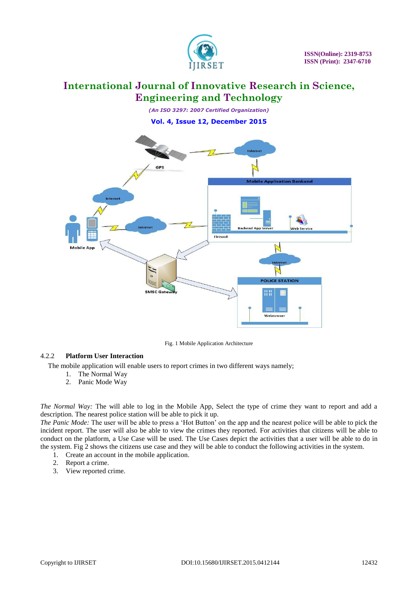

*(An ISO 3297: 2007 Certified Organization)* **Vol. 4, Issue 12, December 2015**



Fig. 1 Mobile Application Architecture

### 4.2.2 **Platform User Interaction**

The mobile application will enable users to report crimes in two different ways namely;

- 1. The Normal Way
- 2. Panic Mode Way

*The Normal Way:* The will able to log in the Mobile App, Select the type of crime they want to report and add a description. The nearest police station will be able to pick it up.

*The Panic Mode:* The user will be able to press a "Hot Button" on the app and the nearest police will be able to pick the incident report. The user will also be able to view the crimes they reported. For activities that citizens will be able to conduct on the platform, a Use Case will be used. The Use Cases depict the activities that a user will be able to do in the system. Fig 2 shows the citizens use case and they will be able to conduct the following activities in the system.

- 1. Create an account in the mobile application.
- 2. Report a crime.
- 3. View reported crime.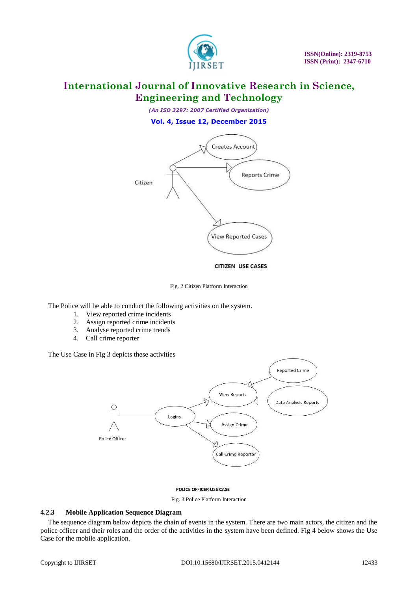

*(An ISO 3297: 2007 Certified Organization)* **Vol. 4, Issue 12, December 2015**



Fig. 2 Citizen Platform Interaction

The Police will be able to conduct the following activities on the system.

- 1. View reported crime incidents
- 2. Assign reported crime incidents
- 3. Analyse reported crime trends
- 4. Call crime reporter

The Use Case in Fig 3 depicts these activities



#### POLICE OFFICER USE CASE

Fig. 3 Police Platform Interaction

#### **4.2.3 Mobile Application Sequence Diagram**

The sequence diagram below depicts the chain of events in the system. There are two main actors, the citizen and the police officer and their roles and the order of the activities in the system have been defined. Fig 4 below shows the Use Case for the mobile application.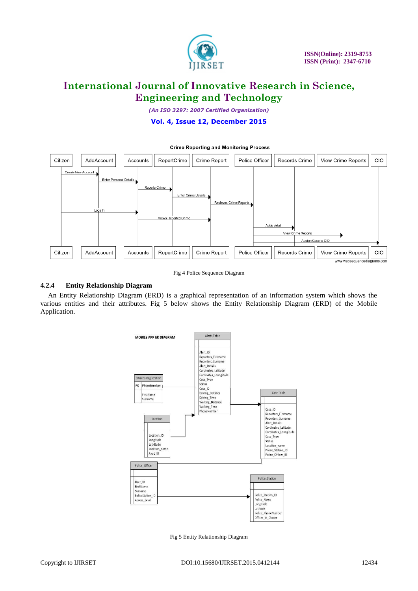

*(An ISO 3297: 2007 Certified Organization)*

#### **Vol. 4, Issue 12, December 2015**



Fig 4 Police Sequence Diagram

#### **4.2.4 Entity Relationship Diagram**

An Entity Relationship Diagram (ERD) is a graphical representation of an information system which shows the various entities and their attributes. Fig 5 below shows the Entity Relationship Diagram (ERD) of the Mobile Application.



Fig 5 Entity Relationship Diagram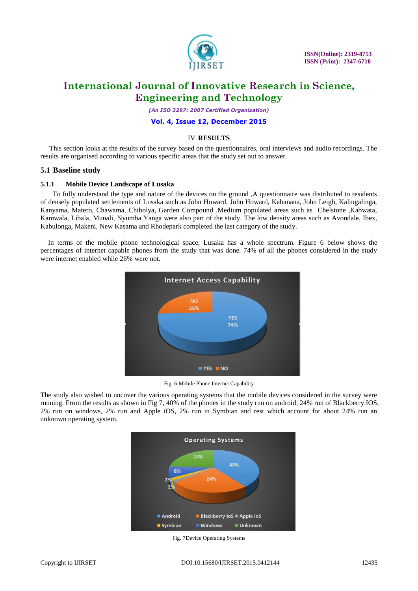

*(An ISO 3297: 2007 Certified Organization)*

**Vol. 4, Issue 12, December 2015**

### IV.**RESULTS**

 This section looks at the results of the survey based on the questionnaires, oral interviews and audio recordings. The results are organised according to various specific areas that the study set out to answer.

### **5.1 Baseline study**

#### **5.1.1 Mobile Device Landscape of Lusaka**

 To fully understand the type and nature of the devices on the ground ,A questionnaire was distributed to residents of densely populated settlements of Lusaka such as John Howard, John Howard, Kabanana, John Leigh, Kalingalinga, Kanyama, Matero, Chawama, Chibolya, Garden Compound .Medium populated areas such as Chelstone ,Kabwata, Kamwala, Libala, Munali, Nyumba Yanga were also part of the study. The low density areas such as Avondale, Ibex, Kabulonga, Makeni, New Kasama and Rhodepark completed the last category of the study.

In terms of the mobile phone technological space, Lusaka has a whole spectrum. Figure 6 below shows the percentages of internet capable phones from the study that was done. 74% of all the phones considered in the study were internet enabled while 26% were not.



Fig. 6 Mobile Phone Internet Capability

The study also wished to uncover the various operating systems that the mobile devices considered in the survey were running. From the results as shown in Fig 7, 40% of the phones in the study run on android, 24% run of Blackberry IOS, 2% run on windows, 2% run and Apple iOS, 2% run in Symbian and rest which account for about 24% run an unknown operating system.



Fig. 7Device Operating Systems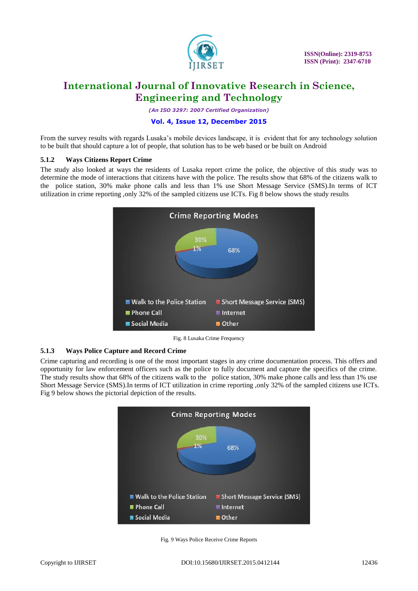

*(An ISO 3297: 2007 Certified Organization)*

### **Vol. 4, Issue 12, December 2015**

From the survey results with regards Lusaka's mobile devices landscape, it is evident that for any technology solution to be built that should capture a lot of people, that solution has to be web based or be built on Android

### **5.1.2 Ways Citizens Report Crime**

The study also looked at ways the residents of Lusaka report crime the police, the objective of this study was to determine the mode of interactions that citizens have with the police. The results show that 68% of the citizens walk to the police station, 30% make phone calls and less than 1% use Short Message Service (SMS).In terms of ICT utilization in crime reporting ,only 32% of the sampled citizens use ICTs. Fig 8 below shows the study results



Fig. 8 Lusaka Crime Frequency

### **5.1.3 Ways Police Capture and Record Crime**

Crime capturing and recording is one of the most important stages in any crime documentation process. This offers and opportunity for law enforcement officers such as the police to fully document and capture the specifics of the crime. The study results show that 68% of the citizens walk to the police station, 30% make phone calls and less than 1% use Short Message Service (SMS).In terms of ICT utilization in crime reporting ,only 32% of the sampled citizens use ICTs. Fig 9 below shows the pictorial depiction of the results.



Fig. 9 Ways Police Receive Crime Reports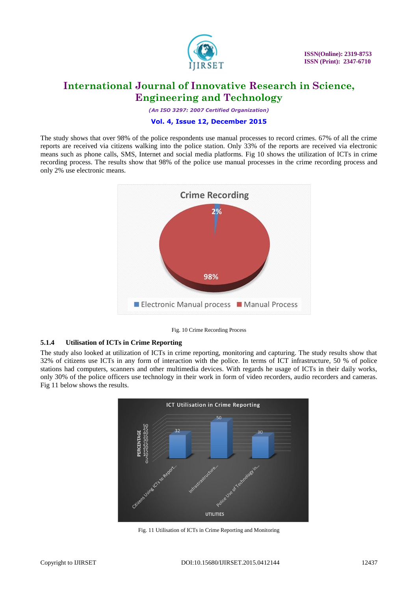

*(An ISO 3297: 2007 Certified Organization)*

#### **Vol. 4, Issue 12, December 2015**

The study shows that over 98% of the police respondents use manual processes to record crimes. 67% of all the crime reports are received via citizens walking into the police station. Only 33% of the reports are received via electronic means such as phone calls, SMS, Internet and social media platforms. Fig 10 shows the utilization of ICTs in crime recording process. The results show that 98% of the police use manual processes in the crime recording process and only 2% use electronic means.



Fig. 10 Crime Recording Process

### **5.1.4 Utilisation of ICTs in Crime Reporting**

The study also looked at utilization of ICTs in crime reporting, monitoring and capturing. The study results show that 32% of citizens use ICTs in any form of interaction with the police. In terms of ICT infrastructure, 50 % of police stations had computers, scanners and other multimedia devices. With regards he usage of ICTs in their daily works, only 30% of the police officers use technology in their work in form of video recorders, audio recorders and cameras. Fig 11 below shows the results.



Fig. 11 Utilisation of ICTs in Crime Reporting and Monitoring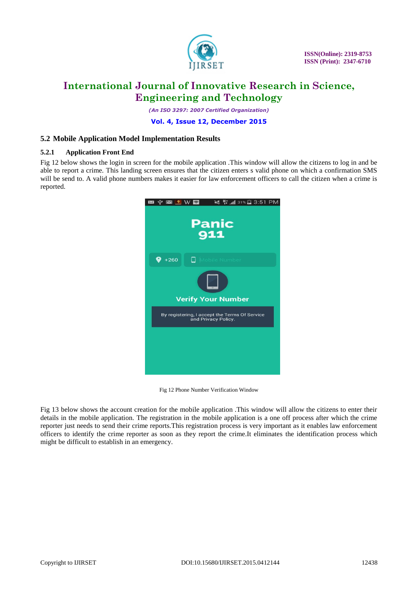

*(An ISO 3297: 2007 Certified Organization)*

**Vol. 4, Issue 12, December 2015**

### **5.2 Mobile Application Model Implementation Results**

#### **5.2.1 Application Front End**

Fig 12 below shows the login in screen for the mobile application .This window will allow the citizens to log in and be able to report a crime. This landing screen ensures that the citizen enters s valid phone on which a confirmation SMS will be send to. A valid phone numbers makes it easier for law enforcement officers to call the citizen when a crime is reported.



Fig 12 Phone Number Verification Window

Fig 13 below shows the account creation for the mobile application .This window will allow the citizens to enter their details in the mobile application. The registration in the mobile application is a one off process after which the crime reporter just needs to send their crime reports.This registration process is very important as it enables law enforcement officers to identify the crime reporter as soon as they report the crime.It eliminates the identification process which might be difficult to establish in an emergency.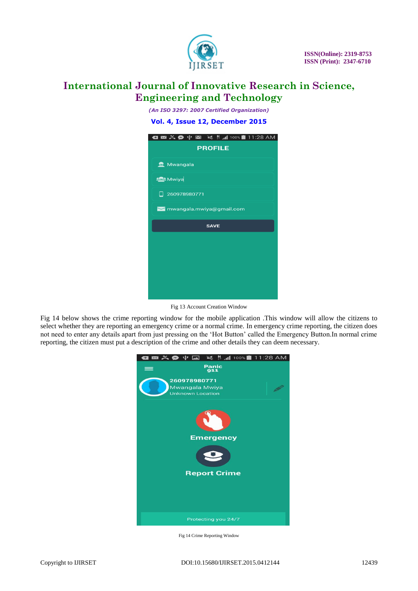

*(An ISO 3297: 2007 Certified Organization)*

**Vol. 4, Issue 12, December 2015**

| ◘ ⊠ ≍ ❷ ේ ⊠ ≤ ‼ ⊿100%■11:28 AM |  |  |  |  |  |  |  |  |
|--------------------------------|--|--|--|--|--|--|--|--|
| <b>PROFILE</b>                 |  |  |  |  |  |  |  |  |
| Mwangala                       |  |  |  |  |  |  |  |  |
| <b>SOA</b> Mwiya               |  |  |  |  |  |  |  |  |
| 260978980771<br>□              |  |  |  |  |  |  |  |  |
| mwangala.mwiya@gmail.com       |  |  |  |  |  |  |  |  |
| <b>SAVE</b>                    |  |  |  |  |  |  |  |  |
|                                |  |  |  |  |  |  |  |  |
|                                |  |  |  |  |  |  |  |  |
|                                |  |  |  |  |  |  |  |  |
|                                |  |  |  |  |  |  |  |  |
|                                |  |  |  |  |  |  |  |  |

Fig 13 Account Creation Window

Fig 14 below shows the crime reporting window for the mobile application .This window will allow the citizens to select whether they are reporting an emergency crime or a normal crime. In emergency crime reporting, the citizen does not need to enter any details apart from just pressing on the "Hot Button" called the Emergency Button.In normal crime reporting, the citizen must put a description of the crime and other details they can deem necessary.



Fig 14 Crime Reporting Window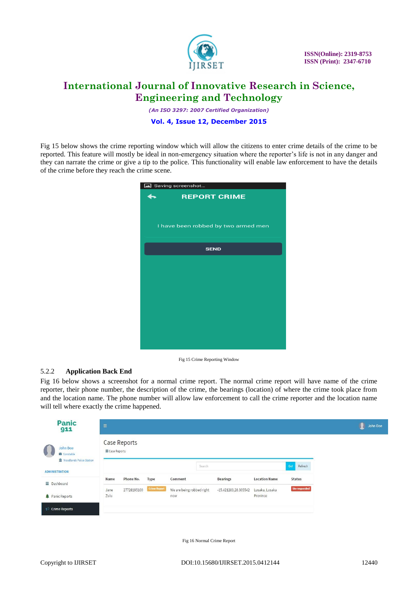

*(An ISO 3297: 2007 Certified Organization)*

**Vol. 4, Issue 12, December 2015**

Fig 15 below shows the crime reporting window which will allow the citizens to enter crime details of the crime to be reported. This feature will mostly be ideal in non-emergency situation where the reporter"s life is not in any danger and they can narrate the crime or give a tip to the police. This functionality will enable law enforcement to have the details of the crime before they reach the crime scene.

| Saving screenshot   |                                     |  |  |  |  |  |  |  |  |
|---------------------|-------------------------------------|--|--|--|--|--|--|--|--|
| <b>REPORT CRIME</b> |                                     |  |  |  |  |  |  |  |  |
|                     |                                     |  |  |  |  |  |  |  |  |
|                     |                                     |  |  |  |  |  |  |  |  |
|                     | I have been robbed by two armed men |  |  |  |  |  |  |  |  |
|                     |                                     |  |  |  |  |  |  |  |  |
|                     | <b>SEND</b>                         |  |  |  |  |  |  |  |  |
|                     |                                     |  |  |  |  |  |  |  |  |
|                     |                                     |  |  |  |  |  |  |  |  |
|                     |                                     |  |  |  |  |  |  |  |  |
|                     |                                     |  |  |  |  |  |  |  |  |
|                     |                                     |  |  |  |  |  |  |  |  |
|                     |                                     |  |  |  |  |  |  |  |  |
|                     |                                     |  |  |  |  |  |  |  |  |
|                     |                                     |  |  |  |  |  |  |  |  |
|                     |                                     |  |  |  |  |  |  |  |  |
|                     |                                     |  |  |  |  |  |  |  |  |

Fig 15 Crime Reporting Window

### 5.2.2 **Application Back End**

Fig 16 below shows a screenshot for a normal crime report. The normal crime report will have name of the crime reporter, their phone number, the description of the crime, the bearings (location) of where the crime took place from and the location name. The phone number will allow law enforcement to call the crime reporter and the location name will tell where exactly the crime happened.

| <b>Panic</b><br>911                                                                   | $\equiv$                       |             |                     |                                  |                      |                            |                     |  | John Doe |
|---------------------------------------------------------------------------------------|--------------------------------|-------------|---------------------|----------------------------------|----------------------|----------------------------|---------------------|--|----------|
| John Doe<br>Constable<br><b>THE Woodlands Police Station</b><br><b>ADMINISTRATION</b> | Case Reports<br>E Case Reports |             |                     |                                  |                      |                            |                     |  |          |
|                                                                                       |                                |             |                     | Search                           |                      |                            | Go!<br>Refresh      |  |          |
| $\equiv$ Dashboard                                                                    | Name                           | Phone No.   | Type                | Comment                          | <b>Bearings</b>      | <b>Location Name</b>       | <b>Status</b>       |  |          |
| Panic Reports                                                                         | Jane<br>Zulu                   | 27728195100 | <b>Crime Report</b> | We are being robbed right<br>now | -15.421283,28.305542 | Lusaka, Lusaka<br>Province | <b>Un-responded</b> |  |          |
| $\blacksquare$ Crime Reports                                                          |                                |             |                     |                                  |                      |                            |                     |  |          |

Fig 16 Normal Crime Report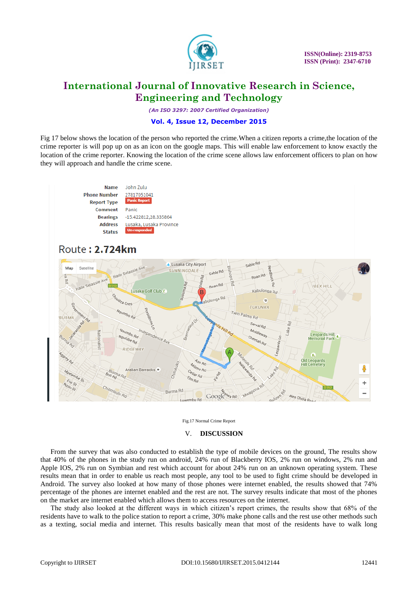

*(An ISO 3297: 2007 Certified Organization)*

### **Vol. 4, Issue 12, December 2015**

Fig 17 below shows the location of the person who reported the crime.When a citizen reports a crime,the location of the crime reporter is will pop up on as an icon on the google maps. This will enable law enforcement to know exactly the location of the crime reporter. Knowing the location of the crime scene allows law enforcement officers to plan on how they will approach and handle the crime scene.





#### V. **DISCUSSION**

From the survey that was also conducted to establish the type of mobile devices on the ground, The results show that 40% of the phones in the study run on android, 24% run of Blackberry IOS, 2% run on windows, 2% run and Apple IOS, 2% run on Symbian and rest which account for about 24% run on an unknown operating system. These results mean that in order to enable us reach most people, any tool to be used to fight crime should be developed in Android. The survey also looked at how many of those phones were internet enabled, the results showed that 74% percentage of the phones are internet enabled and the rest are not. The survey results indicate that most of the phones on the market are internet enabled which allows them to access resources on the internet.

The study also looked at the different ways in which citizen"s report crimes, the results show that 68% of the residents have to walk to the police station to report a crime, 30% make phone calls and the rest use other methods such as a texting, social media and internet. This results basically mean that most of the residents have to walk long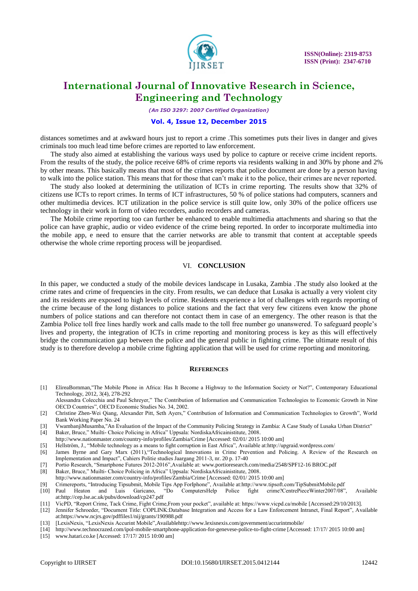

*(An ISO 3297: 2007 Certified Organization)*

#### **Vol. 4, Issue 12, December 2015**

distances sometimes and at awkward hours just to report a crime .This sometimes puts their lives in danger and gives criminals too much lead time before crimes are reported to law enforcement.

The study also aimed at establishing the various ways used by police to capture or receive crime incident reports. From the results of the study, the police receive 68% of crime reports via residents walking in and 30% by phone and 2% by other means. This basically means that most of the crimes reports that police document are done by a person having to walk into the police station. This means that for those that can"t make it to the police, their crimes are never reported.

The study also looked at determining the utilization of ICTs in crime reporting. The results show that 32% of citizens use ICTs to report crimes. In terms of ICT infrastructures, 50 % of police stations had computers, scanners and other multimedia devices. ICT utilization in the police service is still quite low, only 30% of the police officers use technology in their work in form of video recorders, audio recorders and cameras.

The Mobile crime reporting too can further be enhanced to enable multimedia attachments and sharing so that the police can have graphic, audio or video evidence of the crime being reported. In order to incorporate multimedia into the mobile app, e need to ensure that the carrier networks are able to transmit that content at acceptable speeds otherwise the whole crime reporting process will be jeopardised.

#### VI. **CONCLUSION**

In this paper, we conducted a study of the mobile devices landscape in Lusaka, Zambia .The study also looked at the crime rates and crime of frequencies in the city. From results, we can deduce that Lusaka is actually a very violent city and its residents are exposed to high levels of crime. Residents experience a lot of challenges with regards reporting of the crime because of the long distances to police stations and the fact that very few citizens even know the phone numbers of police stations and can therefore not contact them in case of an emergency. The other reason is that the Zambia Police toll free lines hardly work and calls made to the toll free number go unanswered. To safeguard people"s lives and property, the integration of ICTs in crime reporting and monitoring process is key as this will effectively bridge the communication gap between the police and the general public in fighting crime. The ultimate result of this study is to therefore develop a mobile crime fighting application that will be used for crime reporting and monitoring.

#### **REFERENCES**

- [1] ElireaBornman,"The Mobile Phone in Africa: Has It Become a Highway to the Information Society or Not?", Contemporary Educational Technology, 2012, 3(4), 278-292
- Alessandra Colecchia and Paul Schreyer," The Contribution of Information and Communication Technologies to Economic Growth in Nine OECD Countries", OECD Economic Studies No. 34, 2002.
- [2] Christine Zhen-Wei Qiang, Alexander Pitt, Seth Ayers," Contribution of Information and Communication Technologies to Growth", World Bank Working Paper No. 24
- [3] VwambanjiMusamba,"An Evaluation of the Impact of the Community Policing Strategy in Zambia: A Case Study of Lusaka Urban District" [4] Baker, Bruce," Muilti- Choice Policing in Africa" Uppsala: NordiskaAfricainistitute, 2008.
- <http://www.nationmaster.com/country-info/profiles/Zambia/Crime> [Accessed: 02/01/ 2015 10:00 am]
- [5] Hellström, J., "Mobile technology as a means to fight corruption in East Africa", Available at:http://upgraid.wordpress.com/
- [6] James Byrne and Gary Marx (2011),"Technological Innovations in Crime Prevention and Policing. A Review of the Research on Implementation and Impact", Cahiers Politie studies Jaargang 2011-3, nr. 20 p. 17-40
- [7] Portio Research, "Smartphone Futures 2012-2016",Available at[: www.portioresearch.com/media/2548/SPF12-16 BROC.pdf](http://www.portioresearch.com/media/2548/SPF12-16%20BROC.pdf)
- [8] Baker, Bruce," Muilti- Choice Policing in Africa" Uppsala: NordiskaAfricainistitute, 2008.
- <http://www.nationmaster.com/country-info/profiles/Zambia/Crime> [Accessed: 02/01/ 2015 10:00 am]
- [9] Crimereports, "Introducing Tipsubmit, Mobile Tips App ForIphone", Available at:http://www.tipsoft.com/TipSubmitMobile.pdf
- [10] Paul Heaton and Luis Garicano, "Do ComputersHelp Police fight crime?CentrePieceWinter2007/08", Available at:http://cep.lse.ac.uk/pubs/download/cp247.pdf
- [11] VicPD, "Report Crime, Tack Crime, Fight Crime,From your pocket", available at: https://www.vicpd.ca/mobile [Accessed:29/10/2013].
- [12] Jennifer Schroeder, "Document Title: COPLINK:Database Integration and Access for a Law Enforcement Intranet, Final Report", Available at:https://www.ncjrs.gov/pdffiles1/nij/grants/190988.pdf
- [13] [LexisNexis, "LexisNexis Accurint Mobile",Availabl[ehttp://www.lexisnexis.com/government/accurintmobile/](http://www.lexisnexis.com/government/accurintmobile/)
- [14] <http://www.technocrazed.com/ipol-mobile-smartphone-application-for-genevese-police-to-fight-crime> [Accessed: 17/17/ 2015 10:00 am]
- [15] [www.hatari.co.ke](http://www.hatari.co.ke/) [Accessed: 17/17/ 2015 10:00 am]